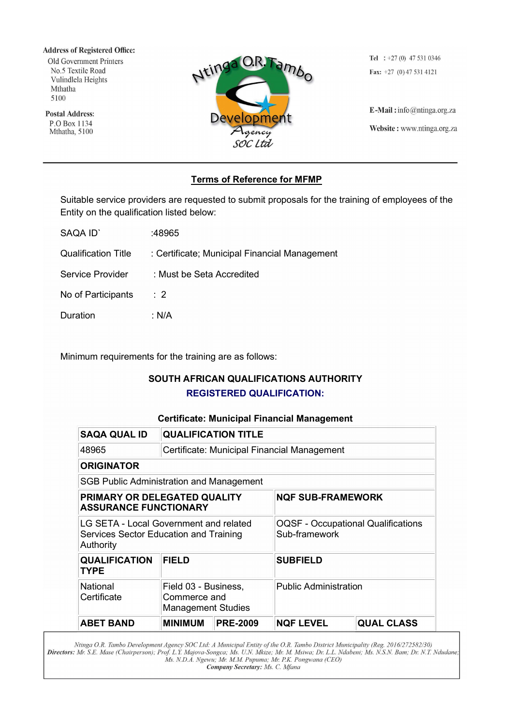**Address of Registered Office:** Old Government Printers No.5 Textile Road

Vulindlela Heights Mthatha 5100

**Postal Address:** P.O Box 1134 Mthatha, 5100



Tel :  $+27(0)$  47 531 0346 Fax:  $+27$  (0) 47 531 4121

E-Mail: info@ntinga.org.za Website: www.ntinga.org.za

# Terms of Reference for MFMP

Suitable service providers are requested to submit proposals for the training of employees of the Entity on the qualification listed below:

| SAQA ID'                   | :48965                                        |
|----------------------------|-----------------------------------------------|
| <b>Qualification Title</b> | : Certificate; Municipal Financial Management |
| Service Provider           | : Must be Seta Accredited                     |
| No of Participants         | $\therefore$ 2                                |
| Duration                   | ∴ N/A                                         |

Minimum requirements for the training are as follows:

# SOUTH AFRICAN QUALIFICATIONS AUTHORITY REGISTERED QUALIFICATION:

# Certificate: Municipal Financial Management

| <b>SAQA QUAL ID</b>                                                                           | <b>QUALIFICATION TITLE</b>                                        |                 |                                                            |                   |  |  |  |
|-----------------------------------------------------------------------------------------------|-------------------------------------------------------------------|-----------------|------------------------------------------------------------|-------------------|--|--|--|
| 48965                                                                                         | Certificate: Municipal Financial Management                       |                 |                                                            |                   |  |  |  |
| <b>ORIGINATOR</b>                                                                             |                                                                   |                 |                                                            |                   |  |  |  |
| <b>SGB Public Administration and Management</b>                                               |                                                                   |                 |                                                            |                   |  |  |  |
| PRIMARY OR DELEGATED QUALITY<br><b>ASSURANCE FUNCTIONARY</b>                                  |                                                                   |                 | <b>NQF SUB-FRAMEWORK</b>                                   |                   |  |  |  |
| LG SETA - Local Government and related<br>Services Sector Education and Training<br>Authority |                                                                   |                 | <b>OQSF - Occupational Qualifications</b><br>Sub-framework |                   |  |  |  |
| <b>QUALIFICATION</b><br>TYPE                                                                  | <b>FIELD</b>                                                      |                 | <b>SUBFIELD</b>                                            |                   |  |  |  |
| National<br>Certificate                                                                       | Field 03 - Business,<br>Commerce and<br><b>Management Studies</b> |                 | <b>Public Administration</b>                               |                   |  |  |  |
| <b>ABET BAND</b>                                                                              | <b>MINIMUM</b>                                                    | <b>PRE-2009</b> | <b>NQF LEVEL</b>                                           | <b>QUAL CLASS</b> |  |  |  |

Ntinga O.R. Tambo Development Agency SOC Ltd: A Municipal Entity of the O.R. Tambo District Municipality (Reg. 2016/272582/30)<br>Directors: Mr. S.E. Mase (Chairperson); Prof. L.Y. Majova-Songca; Ms. U.N. Mkize; Mr. M. Msiwa; Company Secretary: Ms. C. Mfana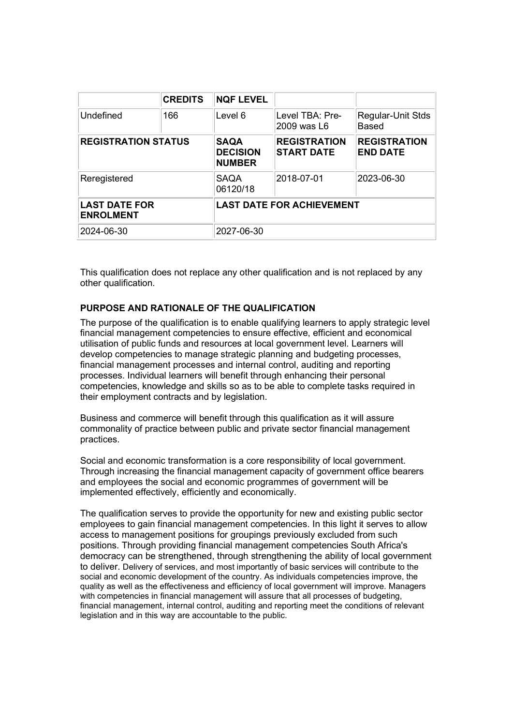|                                          | <b>CREDITS</b> | <b>NQF LEVEL</b>                                |                                          |                                        |
|------------------------------------------|----------------|-------------------------------------------------|------------------------------------------|----------------------------------------|
| Undefined                                | 166            | Level 6                                         | Level TBA: Pre-<br>2009 was L6           | Regular-Unit Stds<br><b>Based</b>      |
| <b>REGISTRATION STATUS</b>               |                | <b>SAQA</b><br><b>DECISION</b><br><b>NUMBER</b> | <b>REGISTRATION</b><br><b>START DATE</b> | <b>REGISTRATION</b><br><b>END DATE</b> |
| Reregistered                             |                | <b>SAQA</b><br>06120/18                         | 2018-07-01                               | 2023-06-30                             |
| <b>LAST DATE FOR</b><br><b>ENROLMENT</b> |                | <b>LAST DATE FOR ACHIEVEMENT</b>                |                                          |                                        |
| 2024-06-30                               |                | 2027-06-30                                      |                                          |                                        |

This qualification does not replace any other qualification and is not replaced by any other qualification.

# PURPOSE AND RATIONALE OF THE QUALIFICATION

The purpose of the qualification is to enable qualifying learners to apply strategic level financial management competencies to ensure effective, efficient and economical utilisation of public funds and resources at local government level. Learners will develop competencies to manage strategic planning and budgeting processes, financial management processes and internal control, auditing and reporting processes. Individual learners will benefit through enhancing their personal competencies, knowledge and skills so as to be able to complete tasks required in their employment contracts and by legislation.

Business and commerce will benefit through this qualification as it will assure commonality of practice between public and private sector financial management practices.

Social and economic transformation is a core responsibility of local government. Through increasing the financial management capacity of government office bearers and employees the social and economic programmes of government will be implemented effectively, efficiently and economically.

The qualification serves to provide the opportunity for new and existing public sector employees to gain financial management competencies. In this light it serves to allow access to management positions for groupings previously excluded from such positions. Through providing financial management competencies South Africa's democracy can be strengthened, through strengthening the ability of local government to deliver. Delivery of services, and most importantly of basic services will contribute to the social and economic development of the country. As individuals competencies improve, the quality as well as the effectiveness and efficiency of local government will improve. Managers with competencies in financial management will assure that all processes of budgeting, financial management, internal control, auditing and reporting meet the conditions of relevant legislation and in this way are accountable to the public.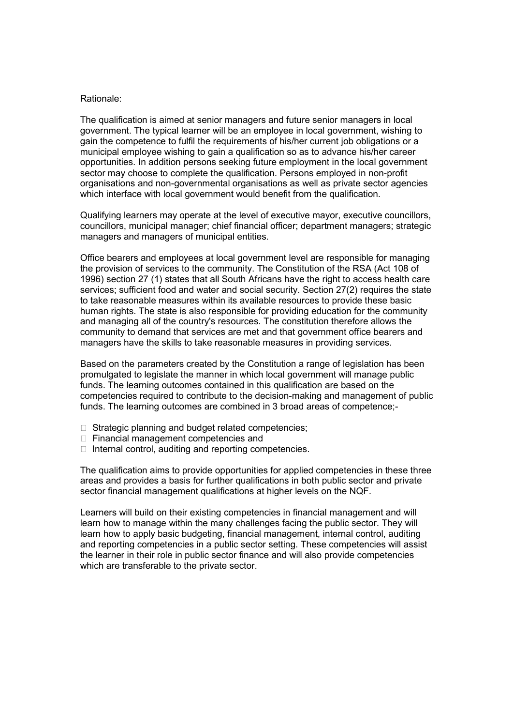#### Rationale:

The qualification is aimed at senior managers and future senior managers in local government. The typical learner will be an employee in local government, wishing to gain the competence to fulfil the requirements of his/her current job obligations or a municipal employee wishing to gain a qualification so as to advance his/her career opportunities. In addition persons seeking future employment in the local government sector may choose to complete the qualification. Persons employed in non-profit organisations and non-governmental organisations as well as private sector agencies which interface with local government would benefit from the qualification.

Qualifying learners may operate at the level of executive mayor, executive councillors, councillors, municipal manager; chief financial officer; department managers; strategic managers and managers of municipal entities.

Office bearers and employees at local government level are responsible for managing the provision of services to the community. The Constitution of the RSA (Act 108 of 1996) section 27 (1) states that all South Africans have the right to access health care services; sufficient food and water and social security. Section 27(2) requires the state to take reasonable measures within its available resources to provide these basic human rights. The state is also responsible for providing education for the community and managing all of the country's resources. The constitution therefore allows the community to demand that services are met and that government office bearers and managers have the skills to take reasonable measures in providing services.

Based on the parameters created by the Constitution a range of legislation has been promulgated to legislate the manner in which local government will manage public funds. The learning outcomes contained in this qualification are based on the competencies required to contribute to the decision-making and management of public funds. The learning outcomes are combined in 3 broad areas of competence;-

- $\Box$  Strategic planning and budget related competencies;
- □ Financial management competencies and
- $\Box$  Internal control, auditing and reporting competencies.

The qualification aims to provide opportunities for applied competencies in these three areas and provides a basis for further qualifications in both public sector and private sector financial management qualifications at higher levels on the NQF.

Learners will build on their existing competencies in financial management and will learn how to manage within the many challenges facing the public sector. They will learn how to apply basic budgeting, financial management, internal control, auditing and reporting competencies in a public sector setting. These competencies will assist the learner in their role in public sector finance and will also provide competencies which are transferable to the private sector.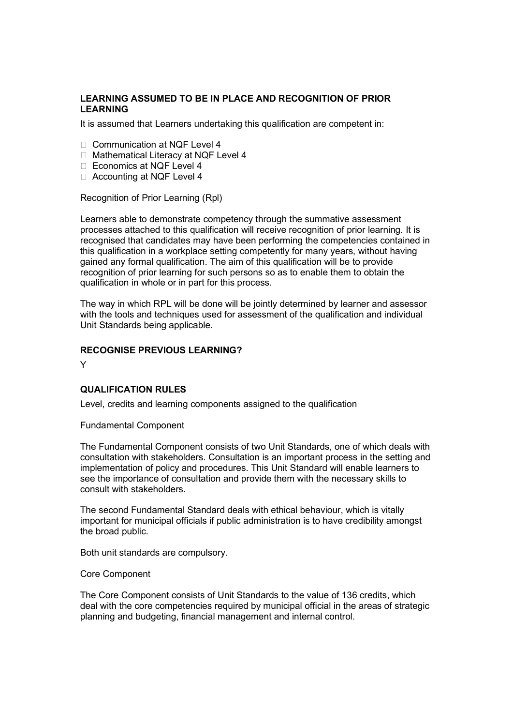# LEARNING ASSUMED TO BE IN PLACE AND RECOGNITION OF PRIOR LEARNING

It is assumed that Learners undertaking this qualification are competent in:

- □ Communication at NQF Level 4
- □ Mathematical Literacy at NQF Level 4
- □ Economics at NQF Level 4
- □ Accounting at NQF Level 4

Recognition of Prior Learning (Rpl)

Learners able to demonstrate competency through the summative assessment processes attached to this qualification will receive recognition of prior learning. It is recognised that candidates may have been performing the competencies contained in this qualification in a workplace setting competently for many years, without having gained any formal qualification. The aim of this qualification will be to provide recognition of prior learning for such persons so as to enable them to obtain the qualification in whole or in part for this process.

The way in which RPL will be done will be jointly determined by learner and assessor with the tools and techniques used for assessment of the qualification and individual Unit Standards being applicable.

#### RECOGNISE PREVIOUS LEARNING?

Y

#### QUALIFICATION RULES

Level, credits and learning components assigned to the qualification

Fundamental Component

The Fundamental Component consists of two Unit Standards, one of which deals with consultation with stakeholders. Consultation is an important process in the setting and implementation of policy and procedures. This Unit Standard will enable learners to see the importance of consultation and provide them with the necessary skills to consult with stakeholders.

The second Fundamental Standard deals with ethical behaviour, which is vitally important for municipal officials if public administration is to have credibility amongst the broad public.

Both unit standards are compulsory.

#### Core Component

The Core Component consists of Unit Standards to the value of 136 credits, which deal with the core competencies required by municipal official in the areas of strategic planning and budgeting, financial management and internal control.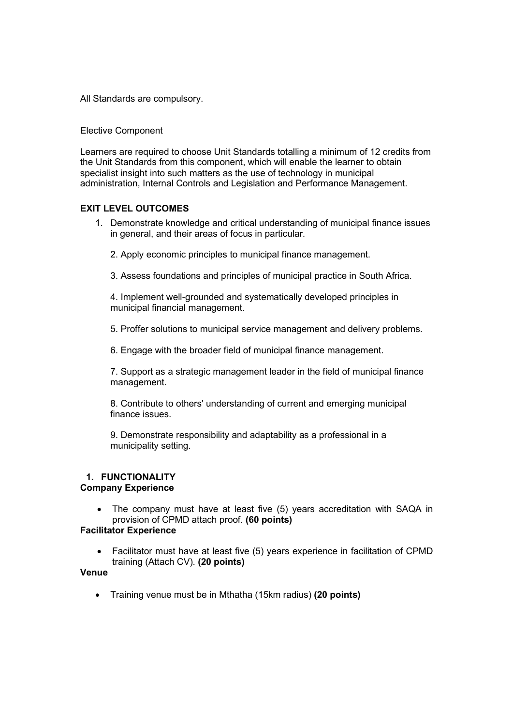All Standards are compulsory.

Elective Component

Learners are required to choose Unit Standards totalling a minimum of 12 credits from the Unit Standards from this component, which will enable the learner to obtain specialist insight into such matters as the use of technology in municipal administration, Internal Controls and Legislation and Performance Management.

# EXIT LEVEL OUTCOMES

- 1. Demonstrate knowledge and critical understanding of municipal finance issues in general, and their areas of focus in particular.
	- 2. Apply economic principles to municipal finance management.
	- 3. Assess foundations and principles of municipal practice in South Africa.

4. Implement well-grounded and systematically developed principles in municipal financial management.

5. Proffer solutions to municipal service management and delivery problems.

6. Engage with the broader field of municipal finance management.

7. Support as a strategic management leader in the field of municipal finance management.

8. Contribute to others' understanding of current and emerging municipal finance issues.

9. Demonstrate responsibility and adaptability as a professional in a municipality setting.

# 1. FUNCTIONALITY

# Company Experience

• The company must have at least five (5) years accreditation with SAQA in provision of CPMD attach proof. (60 points)

### Facilitator Experience

 Facilitator must have at least five (5) years experience in facilitation of CPMD training (Attach CV). (20 points)

# Venue

• Training venue must be in Mthatha (15km radius) (20 points)